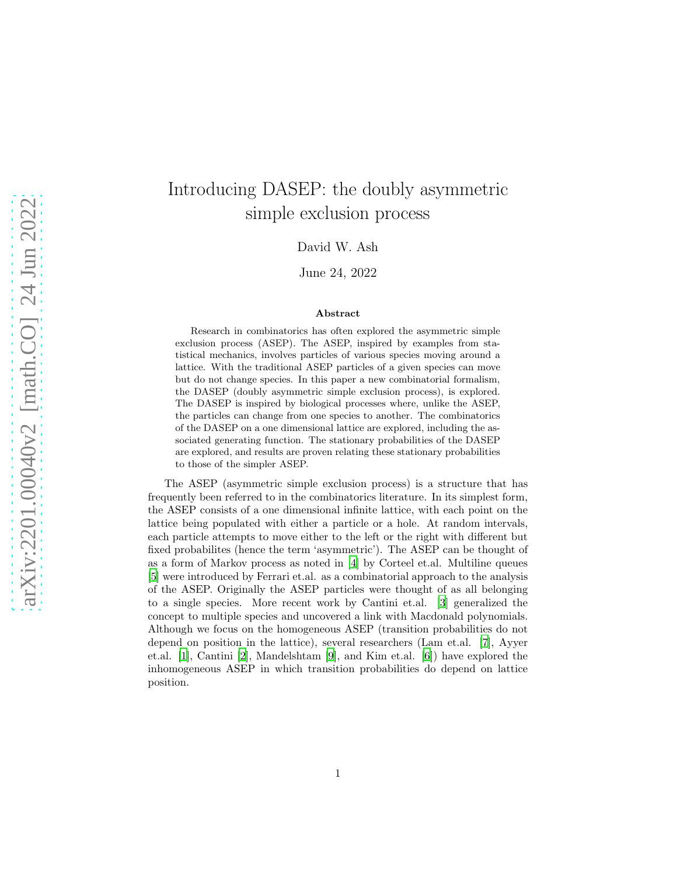# Introducing DASEP: the doubly asymmetric simple exclusion process

David W. Ash

June 24, 2022

#### Abstract

Research in combinatorics has often explored the asymmetric simple exclusion process (ASEP). The ASEP, inspired by examples from statistical mechanics, involves particles of various species moving around a lattice. With the traditional ASEP particles of a given species can move but do not change species. In this paper a new combinatorial formalism, the DASEP (doubly asymmetric simple exclusion process), is explored. The DASEP is inspired by biological processes where, unlike the ASEP, the particles can change from one species to another. The combinatorics of the DASEP on a one dimensional lattice are explored, including the associated generating function. The stationary probabilities of the DASEP are explored, and results are proven relating these stationary probabilities to those of the simpler ASEP.

The ASEP (asymmetric simple exclusion process) is a structure that has frequently been referred to in the combinatorics literature. In its simplest form, the ASEP consists of a one dimensional infinite lattice, with each point on the lattice being populated with either a particle or a hole. At random intervals, each particle attempts to move either to the left or the right with different but fixed probabilites (hence the term 'asymmetric'). The ASEP can be thought of as a form of Markov process as noted in [\[4](#page-15-0)] by Corteel et.al. Multiline queues [\[5\]](#page-15-1) were introduced by Ferrari et.al. as a combinatorial approach to the analysis of the ASEP. Originally the ASEP particles were thought of as all belonging to a single species. More recent work by Cantini et.al. [\[3](#page-15-2)] generalized the concept to multiple species and uncovered a link with Macdonald polynomials. Although we focus on the homogeneous ASEP (transition probabilities do not depend on position in the lattice), several researchers (Lam et.al. [\[7](#page-15-3)], Ayyer et.al. [\[1\]](#page-15-4), Cantini [\[2](#page-15-5)], Mandelshtam [\[9](#page-16-0)], and Kim et.al. [\[6](#page-15-6)]) have explored the inhomogeneous ASEP in which transition probabilities do depend on lattice position.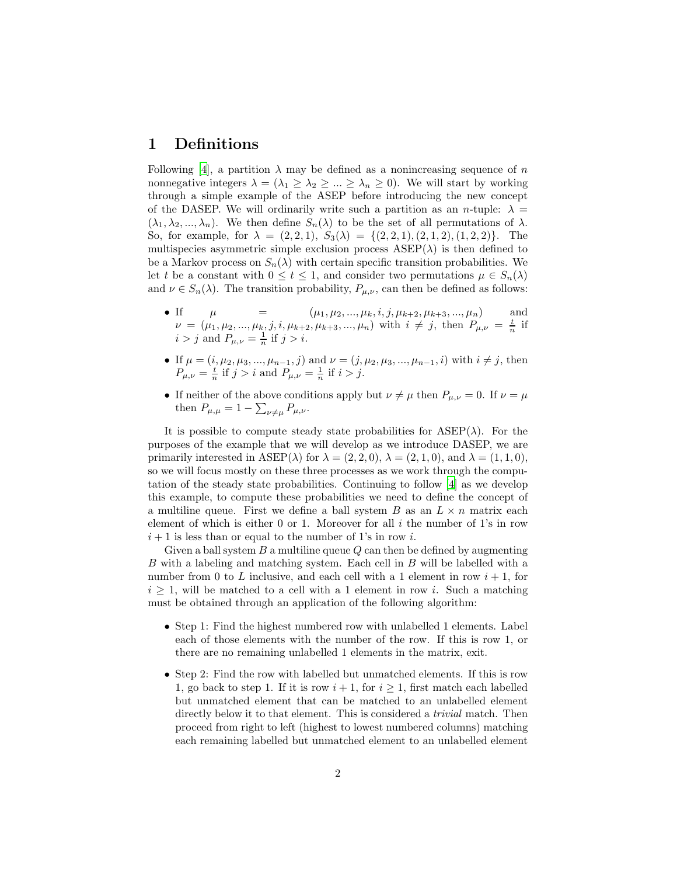### 1 Definitions

Following [\[4](#page-15-0)], a partition  $\lambda$  may be defined as a nonincreasing sequence of n nonnegative integers  $\lambda = (\lambda_1 \geq \lambda_2 \geq ... \geq \lambda_n \geq 0)$ . We will start by working through a simple example of the ASEP before introducing the new concept of the DASEP. We will ordinarily write such a partition as an *n*-tuple:  $\lambda =$  $(\lambda_1, \lambda_2, ..., \lambda_n)$ . We then define  $S_n(\lambda)$  to be the set of all permutations of  $\lambda$ . So, for example, for  $\lambda = (2, 2, 1), S_3(\lambda) = \{(2, 2, 1), (2, 1, 2), (1, 2, 2)\}.$  The multispecies asymmetric simple exclusion process  $ASEP(\lambda)$  is then defined to be a Markov process on  $S_n(\lambda)$  with certain specific transition probabilities. We let t be a constant with  $0 \le t \le 1$ , and consider two permutations  $\mu \in S_n(\lambda)$ and  $\nu \in S_n(\lambda)$ . The transition probability,  $P_{\mu,\nu}$ , can then be defined as follows:

- If  $\mu = (\mu_1, \mu_2, ..., \mu_k, i, j, \mu_{k+2}, \mu_{k+3}, ..., \mu_n)$  and  $\nu = (\mu_1, \mu_2, ..., \mu_k, j, i, \mu_{k+2}, \mu_{k+3}, ..., \mu_n)$  with  $i \neq j$ , then  $P_{\mu,\nu} = \frac{t}{n}$  if  $i > j$  and  $P_{\mu,\nu} = \frac{1}{n}$  if  $j > i$ .
- If  $\mu = (i, \mu_2, \mu_3, ..., \mu_{n-1}, j)$  and  $\nu = (j, \mu_2, \mu_3, ..., \mu_{n-1}, i)$  with  $i \neq j$ , then  $P_{\mu,\nu} = \frac{t}{n}$  if  $j > i$  and  $P_{\mu,\nu} = \frac{1}{n}$  if  $i > j$ .
- If neither of the above conditions apply but  $\nu \neq \mu$  then  $P_{\mu,\nu} = 0$ . If  $\nu = \mu$ then  $P_{\mu,\mu} = 1 - \sum_{\nu \neq \mu} P_{\mu,\nu}$ .

It is possible to compute steady state probabilities for  $ASEP(\lambda)$ . For the purposes of the example that we will develop as we introduce DASEP, we are primarily interested in ASEP( $\lambda$ ) for  $\lambda = (2, 2, 0), \lambda = (2, 1, 0),$  and  $\lambda = (1, 1, 0),$ so we will focus mostly on these three processes as we work through the computation of the steady state probabilities. Continuing to follow [\[4](#page-15-0)] as we develop this example, to compute these probabilities we need to define the concept of a multiline queue. First we define a ball system B as an  $L \times n$  matrix each element of which is either 0 or 1. Moreover for all  $i$  the number of 1's in row  $i+1$  is less than or equal to the number of 1's in row i.

Given a ball system  $B$  a multiline queue  $Q$  can then be defined by augmenting B with a labeling and matching system. Each cell in B will be labelled with a number from 0 to L inclusive, and each cell with a 1 element in row  $i + 1$ , for  $i \geq 1$ , will be matched to a cell with a 1 element in row i. Such a matching must be obtained through an application of the following algorithm:

- Step 1: Find the highest numbered row with unlabelled 1 elements. Label each of those elements with the number of the row. If this is row 1, or there are no remaining unlabelled 1 elements in the matrix, exit.
- Step 2: Find the row with labelled but unmatched elements. If this is row 1, go back to step 1. If it is row  $i + 1$ , for  $i \ge 1$ , first match each labelled but unmatched element that can be matched to an unlabelled element directly below it to that element. This is considered a *trivial* match. Then proceed from right to left (highest to lowest numbered columns) matching each remaining labelled but unmatched element to an unlabelled element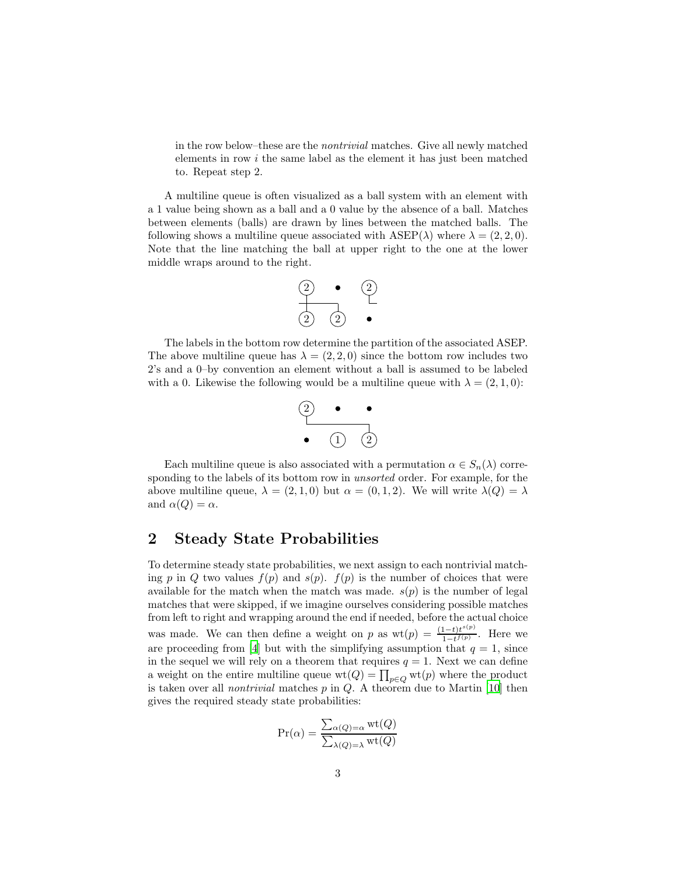in the row below–these are the nontrivial matches. Give all newly matched elements in row i the same label as the element it has just been matched to. Repeat step 2.

A multiline queue is often visualized as a ball system with an element with a 1 value being shown as a ball and a 0 value by the absence of a ball. Matches between elements (balls) are drawn by lines between the matched balls. The following shows a multiline queue associated with  $ASEP(\lambda)$  where  $\lambda = (2, 2, 0)$ . Note that the line matching the ball at upper right to the one at the lower middle wraps around to the right.



The labels in the bottom row determine the partition of the associated ASEP. The above multiline queue has  $\lambda = (2, 2, 0)$  since the bottom row includes two 2's and a 0–by convention an element without a ball is assumed to be labeled with a 0. Likewise the following would be a multiline queue with  $\lambda = (2, 1, 0)$ :



Each multiline queue is also associated with a permutation  $\alpha \in S_n(\lambda)$  corresponding to the labels of its bottom row in unsorted order. For example, for the above multiline queue,  $\lambda = (2, 1, 0)$  but  $\alpha = (0, 1, 2)$ . We will write  $\lambda(Q) = \lambda$ and  $\alpha(Q) = \alpha$ .

### 2 Steady State Probabilities

To determine steady state probabilities, we next assign to each nontrivial matching p in Q two values  $f(p)$  and  $s(p)$ .  $f(p)$  is the number of choices that were available for the match when the match was made.  $s(p)$  is the number of legal matches that were skipped, if we imagine ourselves considering possible matches from left to right and wrapping around the end if needed, before the actual choice was made. We can then define a weight on p as  $wt(p) = \frac{(1-t)t^{s(p)}}{1-t^{f(p)}}$  $\frac{1-t}{1-t^{f(p)}}$ . Here we are proceeding from [\[4](#page-15-0)] but with the simplifying assumption that  $q = 1$ , since in the sequel we will rely on a theorem that requires  $q = 1$ . Next we can define a weight on the entire multiline queue  $\text{wt}(Q) = \prod_{p \in Q} \text{wt}(p)$  where the product is taken over all *nontrivial* matches  $p$  in  $Q$ . A theorem due to Martin [\[10](#page-16-1)] then gives the required steady state probabilities:

$$
\Pr(\alpha) = \frac{\sum_{\alpha(Q)=\alpha} \text{wt}(Q)}{\sum_{\lambda(Q)=\lambda} \text{wt}(Q)}
$$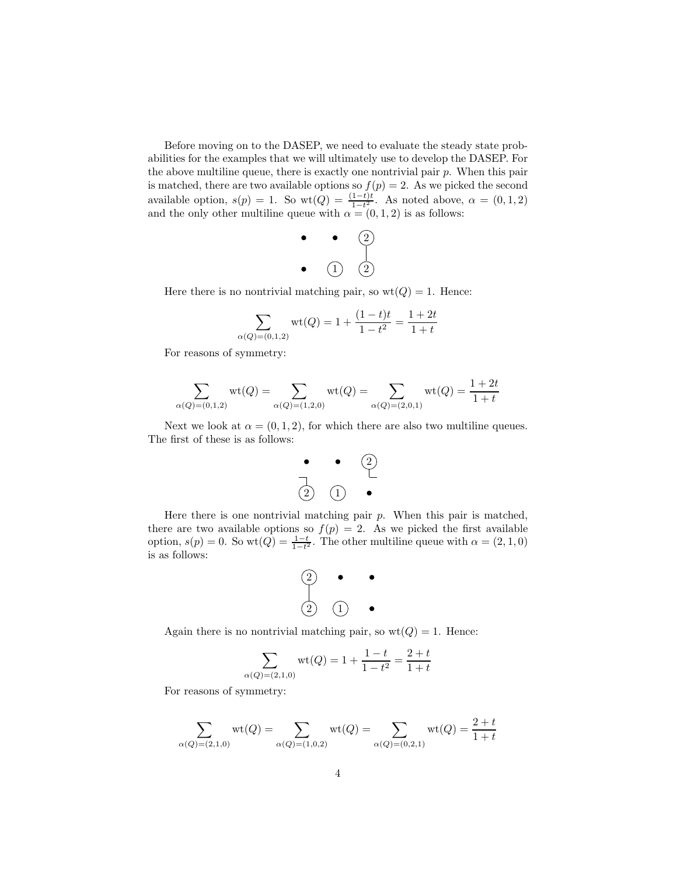Before moving on to the DASEP, we need to evaluate the steady state probabilities for the examples that we will ultimately use to develop the DASEP. For the above multiline queue, there is exactly one nontrivial pair  $p$ . When this pair is matched, there are two available options so  $f(p) = 2$ . As we picked the second available option,  $s(p) = 1$ . So wt $(Q) = \frac{(1-t)t}{1-t^2}$ . As noted above,  $\alpha = (0,1,2)$ and the only other multiline queue with  $\alpha = (0, 1, 2)$  is as follows:

$$
\begin{array}{c} \bullet \quad \bullet \quad \begin{array}{c} \bullet \\ \bullet \end{array} \\ \bullet \quad \begin{array}{c} \bullet \end{array} \end{array}
$$

Here there is no nontrivial matching pair, so  $wt(Q) = 1$ . Hence:

$$
\sum_{\alpha(Q)=(0,1,2)} \text{wt}(Q) = 1 + \frac{(1-t)t}{1-t^2} = \frac{1+2t}{1+t}
$$

For reasons of symmetry:

$$
\sum_{\alpha(Q)=(0,1,2)} \mathrm{wt}(Q) = \sum_{\alpha(Q)=(1,2,0)} \mathrm{wt}(Q) = \sum_{\alpha(Q)=(2,0,1)} \mathrm{wt}(Q) = \frac{1+2t}{1+t}
$$

Next we look at  $\alpha = (0, 1, 2)$ , for which there are also two multiline queues. The first of these is as follows:



Here there is one nontrivial matching pair  $p$ . When this pair is matched, there are two available options so  $f(p) = 2$ . As we picked the first available option,  $s(p) = 0$ . So wt $(Q) = \frac{1-t}{1-t^2}$ . The other multiline queue with  $\alpha = (2, 1, 0)$ is as follows:

$$
\begin{array}{ccc}\n\textcircled{2} & \bullet & \bullet \\
\downarrow & & \\
\textcircled{2} & \textcircled{1} & \bullet\n\end{array}
$$

Again there is no nontrivial matching pair, so  $wt(Q) = 1$ . Hence:

$$
\sum_{\alpha(Q)=(2,1,0)} \mathrm{wt}(Q) = 1 + \frac{1-t}{1-t^2} = \frac{2+t}{1+t}
$$

For reasons of symmetry:

$$
\sum_{\alpha(Q)=(2,1,0)} \text{wt}(Q) = \sum_{\alpha(Q)=(1,0,2)} \text{wt}(Q) = \sum_{\alpha(Q)=(0,2,1)} \text{wt}(Q) = \frac{2+t}{1+t}
$$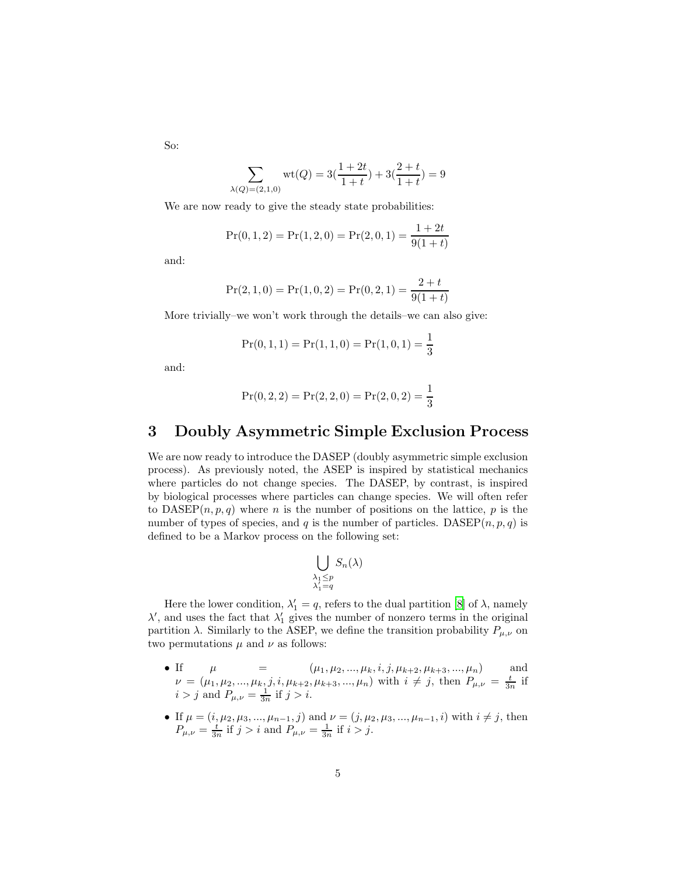So:

$$
\sum_{\lambda(Q)=(2,1,0)} \text{wt}(Q) = 3\left(\frac{1+2t}{1+t}\right) + 3\left(\frac{2+t}{1+t}\right) = 9
$$

We are now ready to give the steady state probabilities:

$$
Pr(0, 1, 2) = Pr(1, 2, 0) = Pr(2, 0, 1) = \frac{1 + 2t}{9(1 + t)}
$$

and:

$$
Pr(2, 1, 0) = Pr(1, 0, 2) = Pr(0, 2, 1) = \frac{2 + t}{9(1 + t)}
$$

More trivially–we won't work through the details–we can also give:

$$
Pr(0, 1, 1) = Pr(1, 1, 0) = Pr(1, 0, 1) = \frac{1}{3}
$$

and:

$$
Pr(0, 2, 2) = Pr(2, 2, 0) = Pr(2, 0, 2) = \frac{1}{3}
$$

### 3 Doubly Asymmetric Simple Exclusion Process

We are now ready to introduce the DASEP (doubly asymmetric simple exclusion process). As previously noted, the ASEP is inspired by statistical mechanics where particles do not change species. The DASEP, by contrast, is inspired by biological processes where particles can change species. We will often refer to  $DASEP(n, p, q)$  where *n* is the number of positions on the lattice, *p* is the number of types of species, and q is the number of particles. DASEP $(n, p, q)$  is defined to be a Markov process on the following set:

$$
\bigcup_{\substack{\lambda_1 \le p \\ \lambda'_1 = q}} S_n(\lambda)
$$

Here the lower condition,  $\lambda'_1 = q$ , refers to the dual partition [\[8\]](#page-16-2) of  $\lambda$ , namely  $\lambda'$ , and uses the fact that  $\lambda'_1$  gives the number of nonzero terms in the original partition  $\lambda$ . Similarly to the ASEP, we define the transition probability  $P_{\mu,\nu}$  on two permutations  $\mu$  and  $\nu$  as follows:

- If  $\mu = (\mu_1, \mu_2, ..., \mu_k, i, j, \mu_{k+2}, \mu_{k+3}, ..., \mu_n)$  and  $\nu = (\mu_1, \mu_2, ..., \mu_k, j, i, \mu_{k+2}, \mu_{k+3}, ..., \mu_n)$  with  $i \neq j$ , then  $P_{\mu,\nu} = \frac{t}{3n}$  if  $i > j$  and  $P_{\mu,\nu} = \frac{1}{3n}$  if  $j > i$ .
- If  $\mu = (i, \mu_2, \mu_3, ..., \mu_{n-1}, j)$  and  $\nu = (j, \mu_2, \mu_3, ..., \mu_{n-1}, i)$  with  $i \neq j$ , then  $P_{\mu,\nu} = \frac{t}{3n}$  if  $j > i$  and  $P_{\mu,\nu} = \frac{1}{3n}$  if  $i > j$ .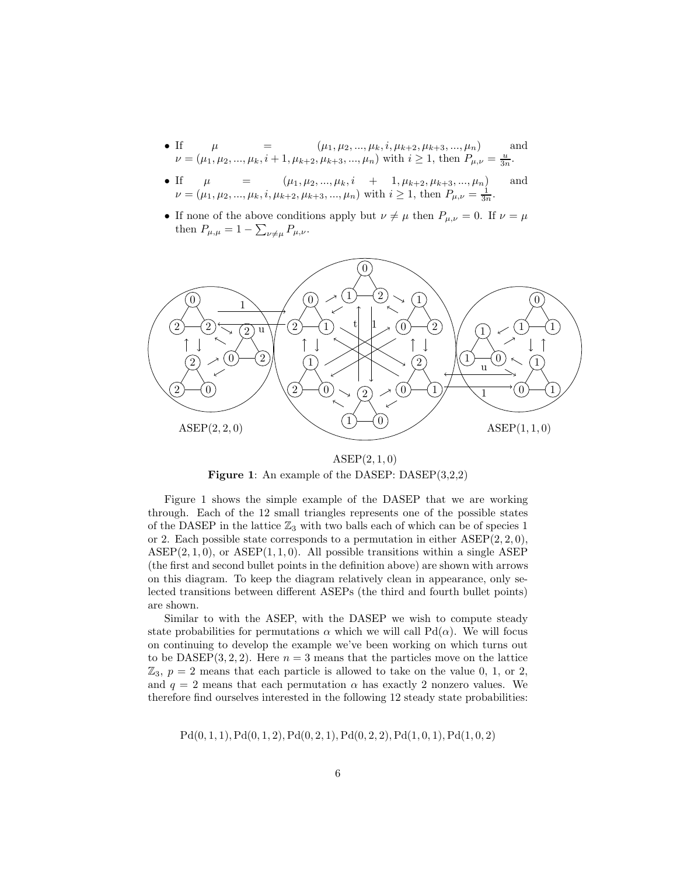- If  $\mu = (\mu_1, \mu_2, ..., \mu_k, i, \mu_{k+2}, \mu_{k+3}, ..., \mu_n)$  and  $\nu = (\mu_1, \mu_2, ..., \mu_k, i + 1, \mu_{k+2}, \mu_{k+3}, ..., \mu_n)$  with  $i \geq 1$ , then  $P_{\mu,\nu} = \frac{u}{3n}$ .
- If  $\mu = (\mu_1, \mu_2, ..., \mu_k, i + 1, \mu_{k+2}, \mu_{k+3}, ..., \mu_n)$  and  $\nu = (\mu_1, \mu_2, ..., \mu_k, i, \mu_{k+2}, \mu_{k+3}, ..., \mu_n)$  with  $i \geq 1$ , then  $P_{\mu,\nu} = \frac{1}{3n}$ .
- If none of the above conditions apply but  $\nu \neq \mu$  then  $P_{\mu,\nu} = 0$ . If  $\nu = \mu$ then  $P_{\mu,\mu} = 1 - \sum_{\nu \neq \mu} P_{\mu,\nu}$ .



 $ASEP(2,1,0)$ Figure 1: An example of the DASEP: DASEP(3,2,2)

Figure 1 shows the simple example of the DASEP that we are working through. Each of the 12 small triangles represents one of the possible states of the DASEP in the lattice  $\mathbb{Z}_3$  with two balls each of which can be of species 1 or 2. Each possible state corresponds to a permutation in either  $ASEP(2, 2, 0)$ ,  $ASEP(2, 1, 0)$ , or  $ASEP(1, 1, 0)$ . All possible transitions within a single ASEP (the first and second bullet points in the definition above) are shown with arrows on this diagram. To keep the diagram relatively clean in appearance, only selected transitions between different ASEPs (the third and fourth bullet points) are shown.

Similar to with the ASEP, with the DASEP we wish to compute steady state probabilities for permutations  $\alpha$  which we will call Pd( $\alpha$ ). We will focus on continuing to develop the example we've been working on which turns out to be DASEP(3, 2, 2). Here  $n = 3$  means that the particles move on the lattice  $\mathbb{Z}_3$ ,  $p = 2$  means that each particle is allowed to take on the value 0, 1, or 2, and  $q = 2$  means that each permutation  $\alpha$  has exactly 2 nonzero values. We therefore find ourselves interested in the following 12 steady state probabilities:

 $Pd(0, 1, 1), Pd(0, 1, 2), Pd(0, 2, 1), Pd(0, 2, 2), Pd(1, 0, 1), Pd(1, 0, 2)$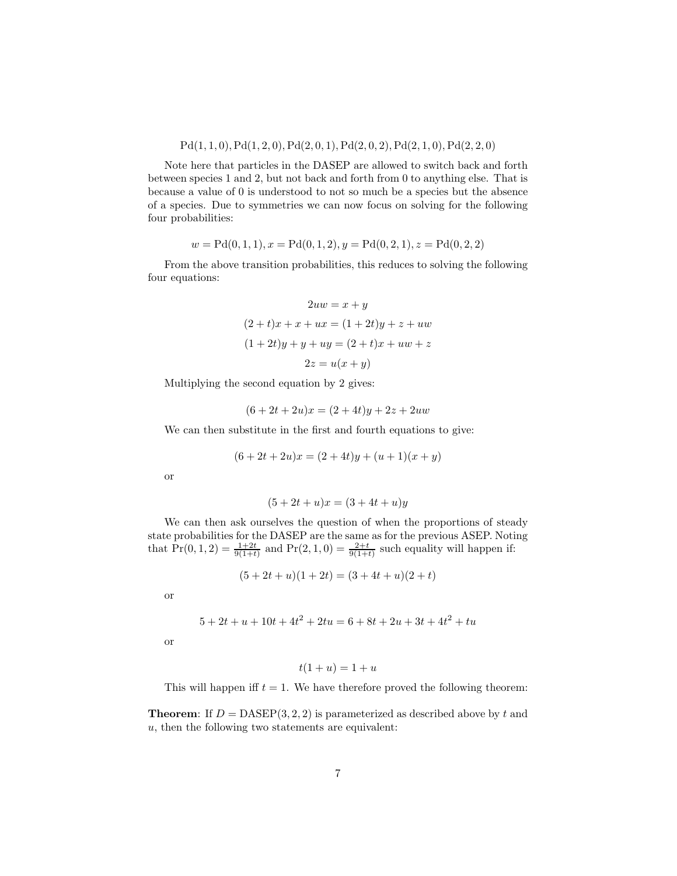### $Pd(1, 1, 0), Pd(1, 2, 0), Pd(2, 0, 1), Pd(2, 0, 2), Pd(2, 1, 0), Pd(2, 2, 0)$

Note here that particles in the DASEP are allowed to switch back and forth between species 1 and 2, but not back and forth from 0 to anything else. That is because a value of 0 is understood to not so much be a species but the absence of a species. Due to symmetries we can now focus on solving for the following four probabilities:

$$
w = \text{Pd}(0, 1, 1), x = \text{Pd}(0, 1, 2), y = \text{Pd}(0, 2, 1), z = \text{Pd}(0, 2, 2)
$$

From the above transition probabilities, this reduces to solving the following four equations:

$$
2uw = x + y
$$

$$
(2 + t)x + x + ux = (1 + 2t)y + z + uw
$$

$$
(1 + 2t)y + y + uy = (2 + t)x + uw + z
$$

$$
2z = u(x + y)
$$

Multiplying the second equation by 2 gives:

$$
(6 + 2t + 2u)x = (2 + 4t)y + 2z + 2uw
$$

We can then substitute in the first and fourth equations to give:

$$
(6+2t+2u)x = (2+4t)y + (u+1)(x+y)
$$

or

$$
(5 + 2t + u)x = (3 + 4t + u)y
$$

We can then ask ourselves the question of when the proportions of steady state probabilities for the DASEP are the same as for the previous ASEP. Noting that  $Pr(0, 1, 2) = \frac{1+2t}{9(1+t)}$  and  $Pr(2, 1, 0) = \frac{2+t}{9(1+t)}$  such equality will happen if:

$$
(5+2t+u)(1+2t) = (3+4t+u)(2+t)
$$

or

$$
5 + 2t + u + 10t + 4t^2 + 2tu = 6 + 8t + 2u + 3t + 4t^2 + tu
$$

or

$$
t(1+u) = 1+u
$$

This will happen iff  $t = 1$ . We have therefore proved the following theorem:

**Theorem:** If  $D = DASEP(3, 2, 2)$  is parameterized as described above by t and  $u$ , then the following two statements are equivalent: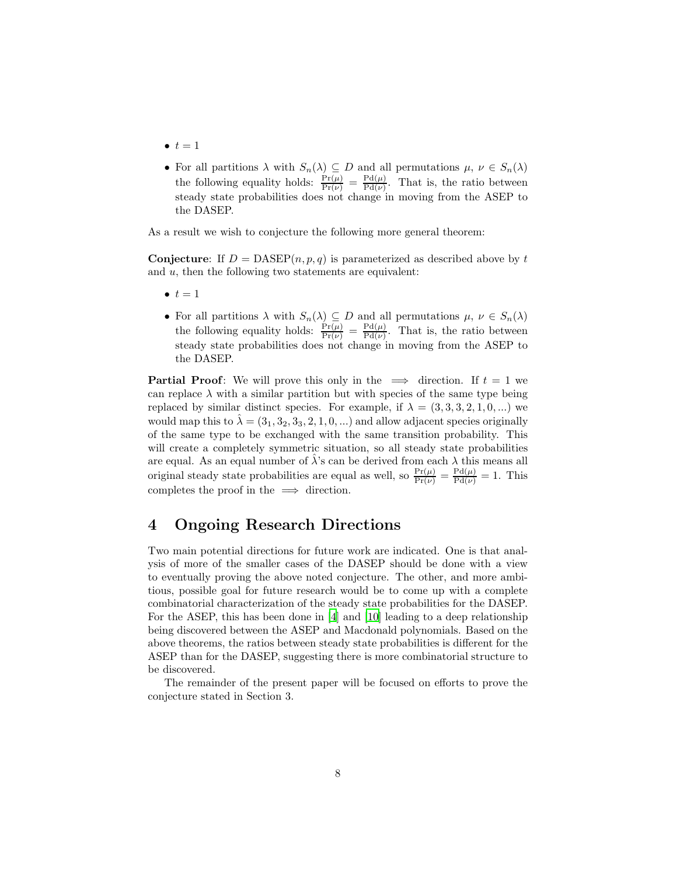- $\bullet$   $t=1$
- For all partitions  $\lambda$  with  $S_n(\lambda) \subseteq D$  and all permutations  $\mu, \nu \in S_n(\lambda)$ the following equality holds:  $\frac{\Pr(\mu)}{\Pr(\nu)} = \frac{\Pr(\mu)}{\Pr(\nu)}$  $\frac{\text{Pa}(\mu)}{\text{Pd}(\nu)}$ . That is, the ratio between steady state probabilities does not change in moving from the ASEP to the DASEP.

As a result we wish to conjecture the following more general theorem:

**Conjecture:** If  $D = DASEP(n, p, q)$  is parameterized as described above by t and u, then the following two statements are equivalent:

- $\bullet$   $t = 1$
- For all partitions  $\lambda$  with  $S_n(\lambda) \subseteq D$  and all permutations  $\mu, \nu \in S_n(\lambda)$ the following equality holds:  $\frac{\Pr(\mu)}{\Pr(\nu)} = \frac{\Pr(\mu)}{\Pr(\nu)}$  $\frac{\text{Pa}(\mu)}{\text{Pd}(\nu)}$ . That is, the ratio between steady state probabilities does not change in moving from the ASEP to the DASEP.

**Partial Proof:** We will prove this only in the  $\implies$  direction. If  $t = 1$  we can replace  $\lambda$  with a similar partition but with species of the same type being replaced by similar distinct species. For example, if  $\lambda = (3, 3, 3, 2, 1, 0, ...)$  we would map this to  $\hat{\lambda} = (3_1, 3_2, 3_3, 2, 1, 0, ...)$  and allow adjacent species originally of the same type to be exchanged with the same transition probability. This will create a completely symmetric situation, so all steady state probabilities are equal. As an equal number of  $\hat{\lambda}$ 's can be derived from each  $\lambda$  this means all original steady state probabilities are equal as well, so  $\frac{\Pr(\mu)}{\Pr(\nu)} = \frac{\Pr(\mu)}{\Pr(\nu)} = 1$ . This completes the proof in the  $\implies$  direction.

### 4 Ongoing Research Directions

Two main potential directions for future work are indicated. One is that analysis of more of the smaller cases of the DASEP should be done with a view to eventually proving the above noted conjecture. The other, and more ambitious, possible goal for future research would be to come up with a complete combinatorial characterization of the steady state probabilities for the DASEP. For the ASEP, this has been done in [\[4](#page-15-0)] and [\[10\]](#page-16-1) leading to a deep relationship being discovered between the ASEP and Macdonald polynomials. Based on the above theorems, the ratios between steady state probabilities is different for the ASEP than for the DASEP, suggesting there is more combinatorial structure to be discovered.

The remainder of the present paper will be focused on efforts to prove the conjecture stated in Section 3.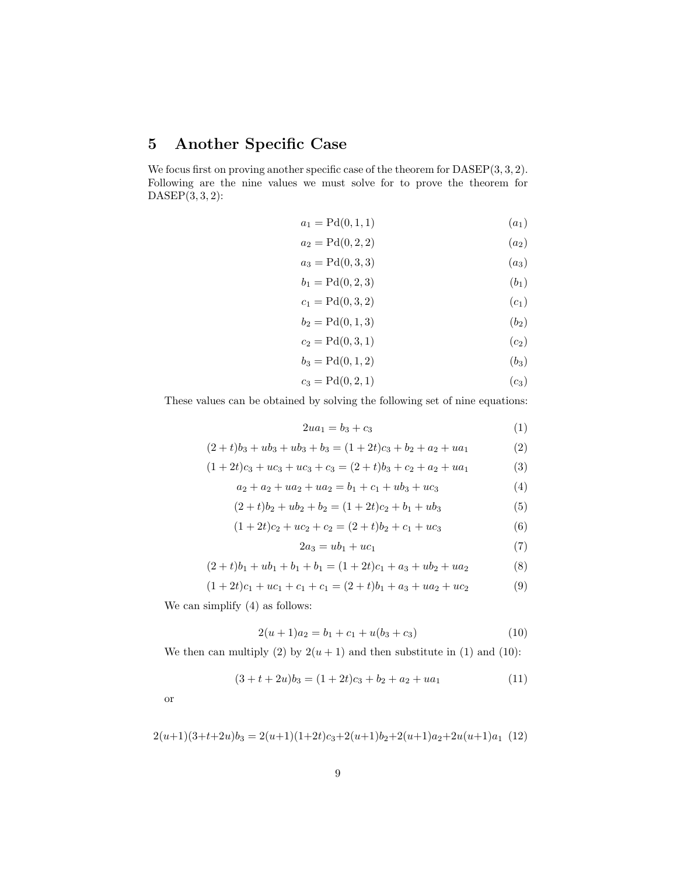## 5 Another Specific Case

We focus first on proving another specific case of the theorem for  $DASEP(3,3,2)$ . Following are the nine values we must solve for to prove the theorem for  $DASEP(3,3,2)$ :

$$
a_1 = P d(0, 1, 1) \t\t (a_1)
$$

$$
a_2 = \mathrm{Pd}(0, 2, 2) \tag{a_2}
$$

$$
a_3 = P d(0, 3, 3) \t\t (a_3)
$$

$$
b_1 = P d(0, 2, 3) \t\t (b_1)
$$

$$
c_1 = P d(0, 3, 2) \t\t (c_1)
$$

$$
b_2 = P d(0, 1, 3) \t\t (b_2)
$$

$$
c_2 = Pd(0,3,1) \t\t (c_2)
$$

$$
b_3 = P d(0, 1, 2) \t\t (b_3)
$$

$$
c_3 = P d(0, 2, 1) \t\t (c_3)
$$

These values can be obtained by solving the following set of nine equations:

$$
2ua_1 = b_3 + c_3 \tag{1}
$$

$$
(2+t)b_3 + ub_3 + ub_3 + b_3 = (1+2t)c_3 + b_2 + a_2 + ua_1
$$
 (2)

$$
(1+2t)c_3 + uc_3 + uc_3 + c_3 = (2+t)b_3 + c_2 + a_2 + ua_1
$$
\n(3)

$$
a_2 + a_2 + u a_2 + u a_2 = b_1 + c_1 + u b_3 + u c_3 \tag{4}
$$

$$
(2+t)b_2 + ub_2 + b_2 = (1+2t)c_2 + b_1 + ub_3 \tag{5}
$$

$$
(1+2t)c_2 + uc_2 + c_2 = (2+t)b_2 + c_1 + uc_3 \tag{6}
$$

$$
2a_3 = ub_1 + uc_1 \tag{7}
$$

$$
(2+t)b_1 + ub_1 + b_1 + b_1 = (1+2t)c_1 + a_3 + ub_2 + ua_2 \tag{8}
$$

$$
(1+2t)c_1 + uc_1 + c_1 + c_1 = (2+t)b_1 + a_3 + ua_2 + uc_2 \tag{9}
$$

We can simplify (4) as follows:

$$
2(u+1)a_2 = b_1 + c_1 + u(b_3 + c_3)
$$
\n(10)

We then can multiply (2) by  $2(u + 1)$  and then substitute in (1) and (10):

$$
(3 + t + 2u)b_3 = (1 + 2t)c_3 + b_2 + a_2 + ua_1
$$
\n(11)

or

$$
2(u+1)(3+t+2u)b_3 = 2(u+1)(1+2t)c_3 + 2(u+1)b_2 + 2(u+1)a_2 + 2u(u+1)a_1
$$
 (12)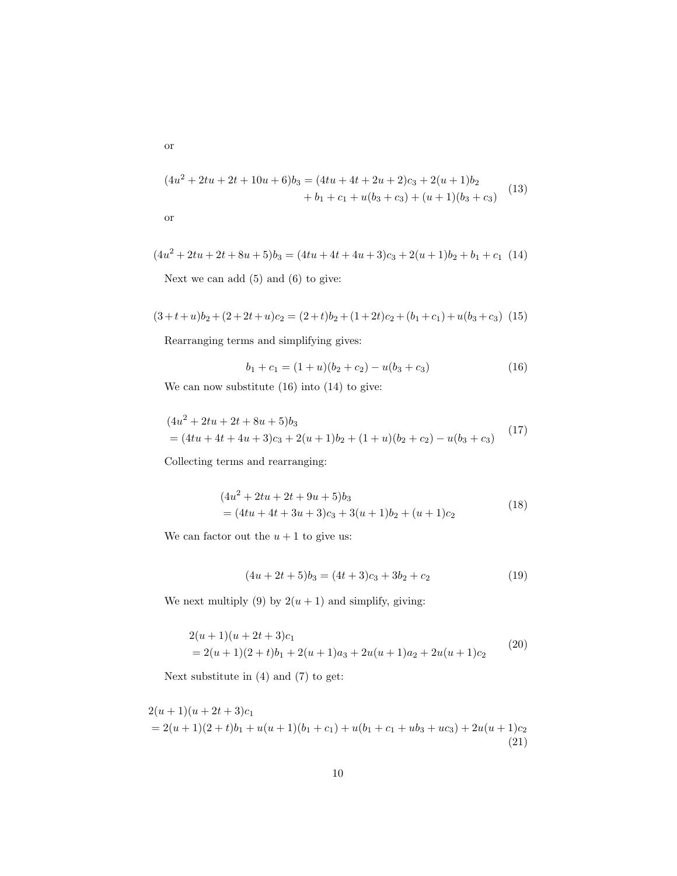$$
(4u2 + 2tu + 2t + 10u + 6)b3 = (4tu + 4t + 2u + 2)c3 + 2(u + 1)b2 + b1 + c1 + u(b3 + c3) + (u + 1)(b3 + c3)
$$
(13)

or

$$
(4u2 + 2tu + 2t + 8u + 5)b3 = (4tu + 4t + 4u + 3)c3 + 2(u + 1)b2 + b1 + c1
$$
 (14)

Next we can add  $(5)$  and  $(6)$  to give:

$$
(3+t+u)b_2 + (2+2t+u)c_2 = (2+t)b_2 + (1+2t)c_2 + (b_1+c_1) + u(b_3+c_3)
$$
 (15)

Rearranging terms and simplifying gives:

$$
b_1 + c_1 = (1 + u)(b_2 + c_2) - u(b_3 + c_3)
$$
\n<sup>(16)</sup>

We can now substitute (16) into (14) to give:

$$
(4u2 + 2tu + 2t + 8u + 5)b3
$$
  
=  $(4tu + 4t + 4u + 3)c3 + 2(u + 1)b2 + (1 + u)(b2 + c2) - u(b3 + c3)$  (17)

Collecting terms and rearranging:

$$
(4u2 + 2tu + 2t + 9u + 5)b3
$$
  
=  $(4tu + 4t + 3u + 3)c3 + 3(u + 1)b2 + (u + 1)c2$  (18)

We can factor out the  $u + 1$  to give us:

$$
(4u + 2t + 5)b_3 = (4t + 3)c_3 + 3b_2 + c_2
$$
\n(19)

We next multiply (9) by  $2(u + 1)$  and simplify, giving:

$$
2(u+1)(u+2t+3)c_1
$$
  
= 2(u+1)(2 + t)b<sub>1</sub> + 2(u+1)a<sub>3</sub> + 2u(u+1)a<sub>2</sub> + 2u(u+1)c<sub>2</sub> (20)

Next substitute in (4) and (7) to get:

 $2(u + 1)(u + 2t + 3)c_1$  $= 2(u + 1)(2 + t)b<sub>1</sub> + u(u + 1)(b<sub>1</sub> + c<sub>1</sub>) + u(b<sub>1</sub> + c<sub>1</sub> + ub<sub>3</sub> + uc<sub>3</sub>) + 2u(u + 1)c<sub>2</sub>$ (21)

or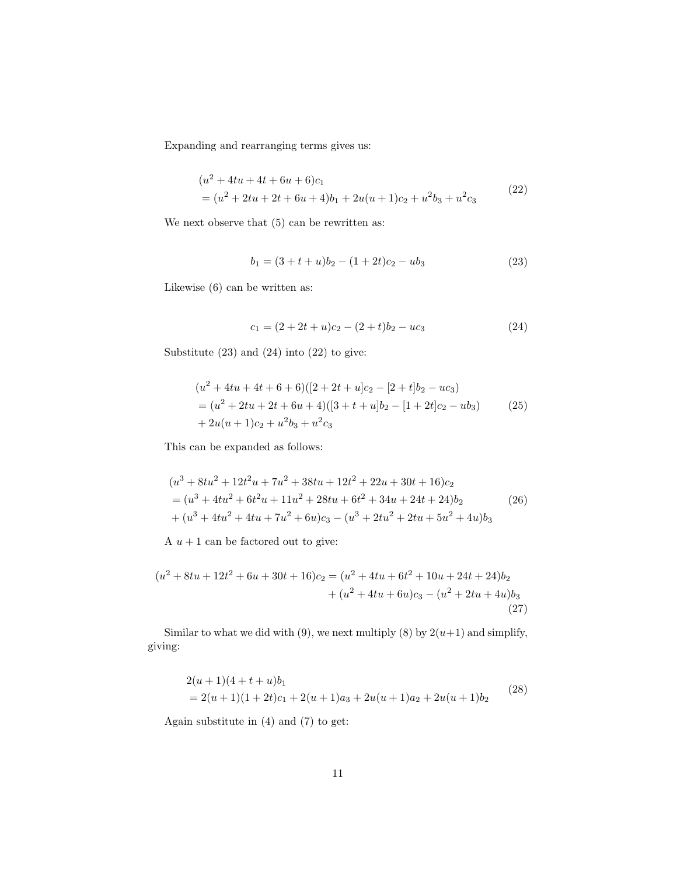Expanding and rearranging terms gives us:

$$
(u2 + 4tu + 4t + 6u + 6)c1
$$
  
=  $(u2 + 2tu + 2t + 6u + 4)b1 + 2u(u + 1)c2 + u2b3 + u2c3$  (22)

We next observe that  $(5)$  can be rewritten as:

$$
b_1 = (3 + t + u)b_2 - (1 + 2t)c_2 - ub_3 \tag{23}
$$

Likewise (6) can be written as:

$$
c_1 = (2 + 2t + u)c_2 - (2 + t)b_2 - uc_3 \tag{24}
$$

Substitute (23) and (24) into (22) to give:

$$
(u2 + 4tu + 4t + 6 + 6)([2 + 2t + u]c2 - [2 + t]b2 - uc3)
$$
  
=  $(u2 + 2tu + 2t + 6u + 4)([3 + t + u]b2 - [1 + 2t]c2 - ub3)$  (25)  
+  $2u(u + 1)c2 + u2b3 + u2c3$ 

This can be expanded as follows:

$$
(u3 + 8tu2 + 12t2u + 7u2 + 38tu + 12t2 + 22u + 30t + 16)c2
$$
  
= 
$$
(u3 + 4tu2 + 6t2u + 11u2 + 28tu + 6t2 + 34u + 24t + 24)b2
$$
 (26)  
+ 
$$
(u3 + 4tu2 + 4tu + 7u2 + 6u)c3 - (u3 + 2tu2 + 2tu + 5u2 + 4u)b3
$$

A  $u + 1$  can be factored out to give:

$$
(u2 + 8tu + 12t2 + 6u + 30t + 16)c2 = (u2 + 4tu + 6t2 + 10u + 24t + 24)b2+ (u2 + 4tu + 6u)c3 - (u2 + 2tu + 4u)b3
$$
\n(27)

Similar to what we did with (9), we next multiply (8) by  $2(u+1)$  and simplify, giving:

$$
2(u+1)(4+t+u)b1= 2(u+1)(1+2t)c1 + 2(u+1)a3 + 2u(u+1)a2 + 2u(u+1)b2
$$
 (28)

Again substitute in (4) and (7) to get: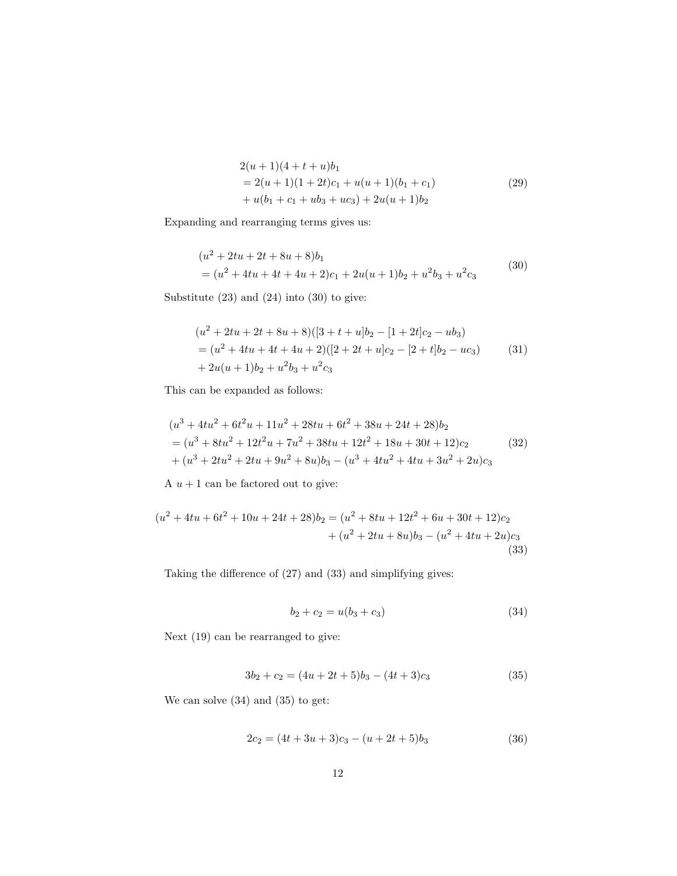$$
2(u+1)(4+t+u)b1= 2(u+1)(1+2t)c1 + u(u+1)(b1 + c1)+ u(b1 + c1 + ub3 + uc3) + 2u(u+1)b2
$$
\n(29)

Expanding and rearranging terms gives us:

$$
(u2 + 2tu + 2t + 8u + 8)b1
$$
  
=  $(u2 + 4tu + 4t + 4u + 2)c1 + 2u(u + 1)b2 + u2b3 + u2c3$  (30)

Substitute (23) and (24) into (30) to give:

$$
(u2 + 2tu + 2t + 8u + 8)([3 + t + u]b2 - [1 + 2t]c2 - ub3)
$$
  
= 
$$
(u2 + 4tu + 4t + 4u + 2)([2 + 2t + u]c2 - [2 + t]b2 - uc3)
$$
 (31)  
+ 
$$
2u(u + 1)b2 + u2b3 + u2c3
$$

This can be expanded as follows:

$$
(u3 + 4tu2 + 6t2u + 11u2 + 28tu + 6t2 + 38u + 24t + 28)b2
$$
  
= 
$$
(u3 + 8tu2 + 12t2u + 7u2 + 38tu + 12t2 + 18u + 30t + 12)c2
$$
 (32)  
+ 
$$
(u3 + 2tu2 + 2tu + 9u2 + 8u)b3 - (u3 + 4tu2 + 4tu + 3u2 + 2u)c3
$$

A  $u + 1$  can be factored out to give:

$$
(u2 + 4tu + 6t2 + 10u + 24t + 28)b2 = (u2 + 8tu + 12t2 + 6u + 30t + 12)c2+ (u2 + 2tu + 8u)b3 - (u2 + 4tu + 2u)c3
$$
\n(33)

Taking the difference of (27) and (33) and simplifying gives:

$$
b_2 + c_2 = u(b_3 + c_3)
$$
\n(34)

Next (19) can be rearranged to give:

$$
3b_2 + c_2 = (4u + 2t + 5)b_3 - (4t + 3)c_3 \tag{35}
$$

We can solve (34) and (35) to get:

$$
2c_2 = (4t + 3u + 3)c_3 - (u + 2t + 5)b_3
$$
\n(36)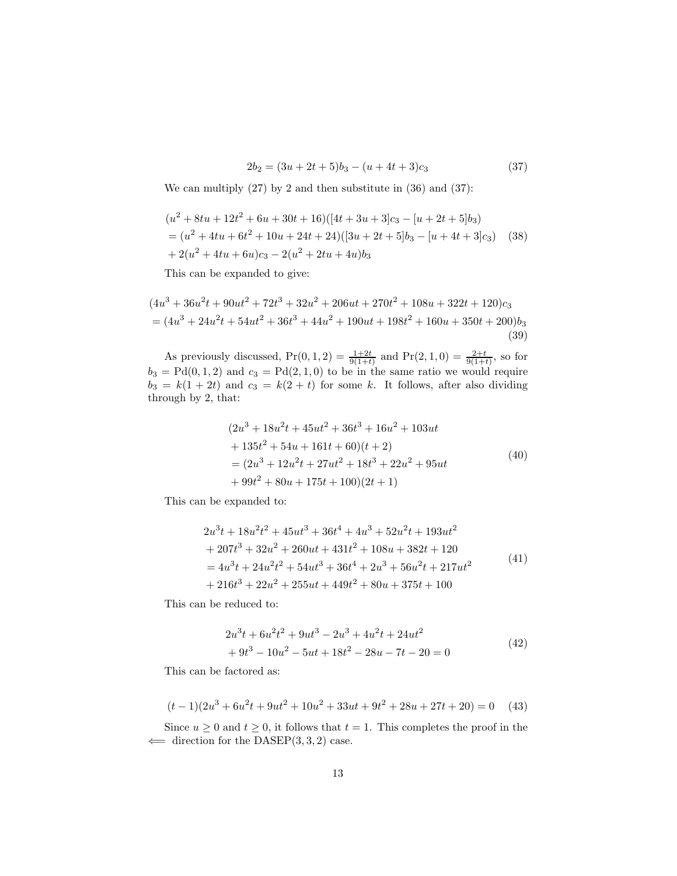$$
2b_2 = (3u + 2t + 5)b_3 - (u + 4t + 3)c_3 \tag{37}
$$

We can multiply  $(27)$  by 2 and then substitute in  $(36)$  and  $(37)$ :

$$
(u2 + 8tu + 12t2 + 6u + 30t + 16)([4t + 3u + 3]c3 - [u + 2t + 5]b3)
$$
  
=  $(u2 + 4tu + 6t2 + 10u + 24t + 24)([3u + 2t + 5]b3 - [u + 4t + 3]c3)$  (38)  
+  $2(u2 + 4tu + 6u)c3 - 2(u2 + 2tu + 4u)b3$ 

This can be expanded to give:

$$
(4u3 + 36u2t + 90ut2 + 72t3 + 32u2 + 206ut + 270t2 + 108u + 322t + 120)c3
$$
  
=  $(4u3 + 24u2t + 54ut2 + 36t3 + 44u2 + 190ut + 198t2 + 160u + 350t + 200)b3$   
(39)

As previously discussed,  $Pr(0, 1, 2) = \frac{1+2t}{9(1+t)}$  and  $Pr(2, 1, 0) = \frac{2+t}{9(1+t)}$ , so for  $b_3 = \text{Pd}(0, 1, 2)$  and  $c_3 = \text{Pd}(2, 1, 0)$  to be in the same ratio we would require  $b_3 = k(1+2t)$  and  $c_3 = k(2+t)$  for some k. It follows, after also dividing through by 2, that:

$$
(2u3 + 18u2t + 45ut2 + 36t3 + 16u2 + 103ut + 135t2 + 54u + 161t + 60)(t + 2) = (2u3 + 12u2t + 27ut2 + 18t3 + 22u2 + 95ut + 99t2 + 80u + 175t + 100)(2t + 1)
$$
\n(40)

This can be expanded to:

$$
2u3t + 18u2t2 + 45ut3 + 36t4 + 4u3 + 52u2t + 193ut2+ 207t3 + 32u2 + 260ut + 431t2 + 108u + 382t + 120= 4u3t + 24u2t2 + 54ut3 + 36t4 + 2u3 + 56u2t + 217ut2+ 216t3 + 22u2 + 255ut + 449t2 + 80u + 375t + 100
$$
 (41)

This can be reduced to:

$$
2u3t + 6u2t2 + 9ut3 - 2u3 + 4u2t + 24ut2
$$
  
+ 9t<sup>3</sup> - 10u<sup>2</sup> - 5ut + 18t<sup>2</sup> - 28u - 7t - 20 = 0 (42)

This can be factored as:

$$
(t-1)(2u3 + 6u2t + 9ut2 + 10u2 + 33ut + 9t2 + 28u + 27t + 20) = 0
$$
 (43)

Since  $u \geq 0$  and  $t \geq 0$ , it follows that  $t = 1$ . This completes the proof in the  $\Leftarrow$  direction for the DASEP(3, 3, 2) case.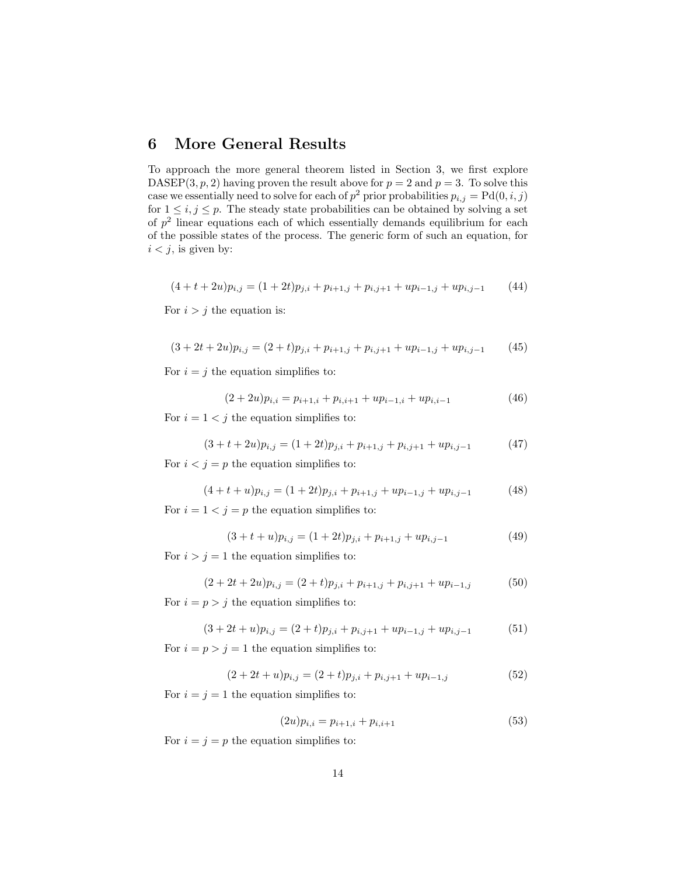### 6 More General Results

To approach the more general theorem listed in Section 3, we first explore DASEP(3, p, 2) having proven the result above for  $p = 2$  and  $p = 3$ . To solve this case we essentially need to solve for each of  $p^2$  prior probabilities  $p_{i,j} = \text{Pd}(0, i, j)$ for  $1 \leq i, j \leq p$ . The steady state probabilities can be obtained by solving a set of  $p<sup>2</sup>$  linear equations each of which essentially demands equilibrium for each of the possible states of the process. The generic form of such an equation, for  $i < j$ , is given by:

$$
(4+t+2u)p_{i,j} = (1+2t)p_{j,i} + p_{i+1,j} + p_{i,j+1} + up_{i-1,j} + up_{i,j-1}
$$
 (44)

For  $i > j$  the equation is:

$$
(3+2t+2u)p_{i,j} = (2+t)p_{j,i} + p_{i+1,j} + p_{i,j+1} + up_{i-1,j} + up_{i,j-1}
$$
 (45)

For  $i = j$  the equation simplifies to:

$$
(2+2u)p_{i,i} = p_{i+1,i} + p_{i,i+1} + up_{i-1,i} + up_{i,i-1}
$$
\n(46)

For  $i = 1 < j$  the equation simplifies to:

$$
(3+t+2u)p_{i,j} = (1+2t)p_{j,i} + p_{i+1,j} + p_{i,j+1} + up_{i,j-1}
$$
\n(47)

For  $i < j = p$  the equation simplifies to:

$$
(4+t+u)p_{i,j} = (1+2t)p_{j,i} + p_{i+1,j} + up_{i-1,j} + up_{i,j-1}
$$
 (48)

For  $i = 1 < j = p$  the equation simplifies to:

$$
(3+t+u)p_{i,j} = (1+2t)p_{j,i} + p_{i+1,j} + up_{i,j-1}
$$
\n(49)

For  $i > j = 1$  the equation simplifies to:

$$
(2+2t+2u)p_{i,j} = (2+t)p_{j,i} + p_{i+1,j} + p_{i,j+1} + up_{i-1,j}
$$
(50)

For  $i = p > j$  the equation simplifies to:

$$
(3+2t+u)p_{i,j} = (2+t)p_{j,i} + p_{i,j+1} + up_{i-1,j} + up_{i,j-1}
$$
(51)

For  $i = p > j = 1$  the equation simplifies to:

$$
(2+2t+u)p_{i,j} = (2+t)p_{j,i} + p_{i,j+1} + up_{i-1,j}
$$
\n(52)

For  $i = j = 1$  the equation simplifies to:

$$
(2u)p_{i,i} = p_{i+1,i} + p_{i,i+1}
$$
\n(53)

For  $i = j = p$  the equation simplifies to: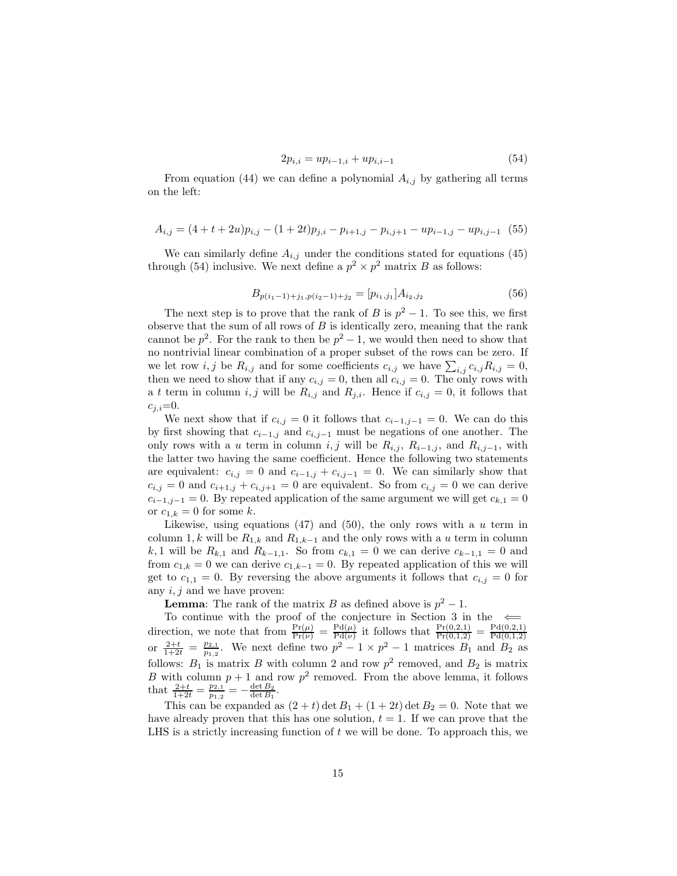$$
2p_{i,i} = up_{i-1,i} + up_{i,i-1} \tag{54}
$$

From equation (44) we can define a polynomial  $A_{i,j}$  by gathering all terms on the left:

$$
A_{i,j} = (4+t+2u)p_{i,j} - (1+2t)p_{j,i} - p_{i+1,j} - p_{i,j+1} - up_{i-1,j} - up_{i,j-1} \quad (55)
$$

We can similarly define  $A_{i,j}$  under the conditions stated for equations (45) through (54) inclusive. We next define a  $p^2 \times p^2$  matrix B as follows:

$$
B_{p(i_1-1)+j_1, p(i_2-1)+j_2} = [p_{i_1, j_1}] A_{i_2, j_2}
$$
\n(56)

The next step is to prove that the rank of B is  $p^2 - 1$ . To see this, we first observe that the sum of all rows of  $B$  is identically zero, meaning that the rank cannot be  $p^2$ . For the rank to then be  $p^2-1$ , we would then need to show that no nontrivial linear combination of a proper subset of the rows can be zero. If we let row *i*, *j* be  $R_{i,j}$  and for some coefficients  $c_{i,j}$  we have  $\sum_{i,j} c_{i,j} R_{i,j} = 0$ , then we need to show that if any  $c_{i,j} = 0$ , then all  $c_{i,j} = 0$ . The only rows with a t term in column i, j will be  $R_{i,j}$  and  $R_{j,i}$ . Hence if  $c_{i,j} = 0$ , it follows that  $c_{j,i}=0.$ 

We next show that if  $c_{i,j} = 0$  it follows that  $c_{i-1,j-1} = 0$ . We can do this by first showing that  $c_{i-1,j}$  and  $c_{i,j-1}$  must be negations of one another. The only rows with a u term in column i, j will be  $R_{i,j}$ ,  $R_{i-1,j}$ , and  $R_{i,j-1}$ , with the latter two having the same coefficient. Hence the following two statements are equivalent:  $c_{i,j} = 0$  and  $c_{i-1,j} + c_{i,j-1} = 0$ . We can similarly show that  $c_{i,j} = 0$  and  $c_{i+1,j} + c_{i,j+1} = 0$  are equivalent. So from  $c_{i,j} = 0$  we can derive  $c_{i-1,j-1} = 0$ . By repeated application of the same argument we will get  $c_{k,1} = 0$ or  $c_{1,k} = 0$  for some k.

Likewise, using equations (47) and (50), the only rows with a  $u$  term in column 1, k will be  $R_{1,k}$  and  $R_{1,k-1}$  and the only rows with a u term in column k, 1 will be  $R_{k,1}$  and  $R_{k-1,1}$ . So from  $c_{k,1} = 0$  we can derive  $c_{k-1,1} = 0$  and from  $c_{1,k} = 0$  we can derive  $c_{1,k-1} = 0$ . By repeated application of this we will get to  $c_{1,1} = 0$ . By reversing the above arguments it follows that  $c_{i,j} = 0$  for any  $i, j$  and we have proven:

**Lemma**: The rank of the matrix B as defined above is  $p^2 - 1$ .

To continue with the proof of the conjecture in Section 3 in the  $\leftarrow$ direction, we note that from  $\frac{\Pr(\mu)}{\Pr(\nu)} = \frac{\Pr(\mu)}{\Pr(\nu)}$  $\frac{\text{Pd}(\mu)}{\text{Pd}(\nu)}$  it follows that  $\frac{\text{Pr}(0,2,1)}{\text{Pr}(0,1,2)} = \frac{\text{Pd}(0,2,1)}{\text{Pd}(0,1,2)}$ or  $\frac{2+t}{1+2t} = \frac{p_{2,1}}{p_{1,2}}$ . We next define two  $p^2 - 1 \times p^2 - 1$  matrices  $B_1$  and  $B_2$  as  $\frac{p_{2,1}}{p_{1,2}}$ . We next define two  $p^2-1 \times p^2-1$  matrices  $B_1$  and  $B_2$  as follows:  $B_1$  is matrix B with column 2 and row  $p^2$  removed, and  $B_2$  is matrix B with column  $p + 1$  and row  $p^2$  removed. From the above lemma, it follows that  $\frac{2+t}{1+2t} = \frac{p_{2,1}}{p_{1,2}}$  $\frac{p_{2,1}}{p_{1,2}}=-\frac{\det B_2}{\det B_1}.$ 

This can be expanded as  $(2 + t)$  det  $B_1 + (1 + 2t)$  det  $B_2 = 0$ . Note that we have already proven that this has one solution,  $t = 1$ . If we can prove that the LHS is a strictly increasing function of t we will be done. To approach this, we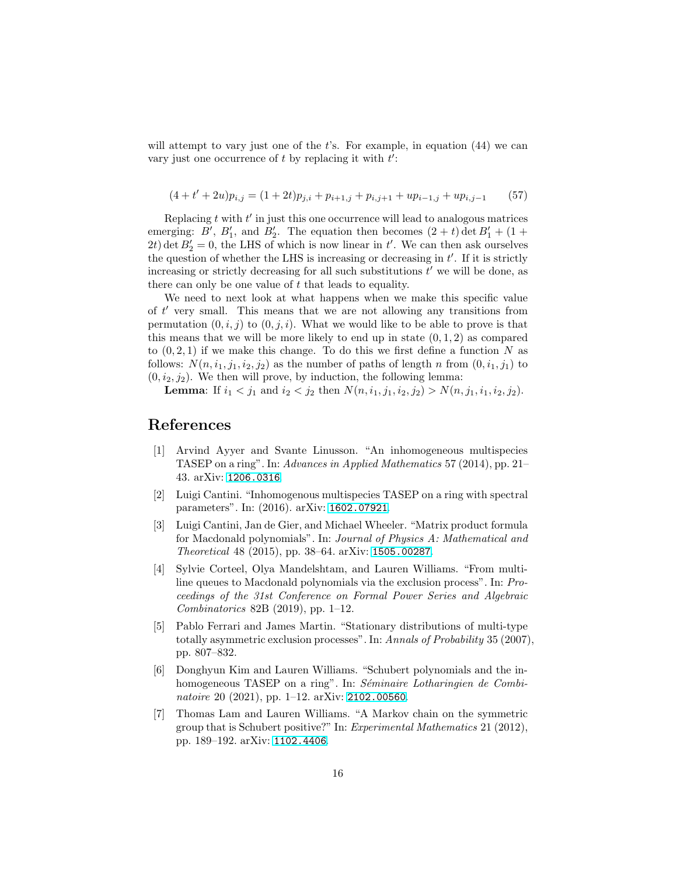will attempt to vary just one of the  $t$ 's. For example, in equation  $(44)$  we can vary just one occurrence of  $t$  by replacing it with  $t'$ :

$$
(4 + t' + 2u)p_{i,j} = (1 + 2t)p_{j,i} + p_{i+1,j} + p_{i,j+1} + up_{i-1,j} + up_{i,j-1}
$$
 (57)

Replacing  $t$  with  $t'$  in just this one occurrence will lead to analogous matrices emerging: B', B'<sub>1</sub>, and B'<sub>2</sub>. The equation then becomes  $(2 + t)$  det  $B'_1 + (1 +$ 2t) det  $B'_2 = 0$ , the LHS of which is now linear in t'. We can then ask ourselves the question of whether the LHS is increasing or decreasing in  $t'$ . If it is strictly increasing or strictly decreasing for all such substitutions  $t'$  we will be done, as there can only be one value of  $t$  that leads to equality.

We need to next look at what happens when we make this specific value of t ′ very small. This means that we are not allowing any transitions from permutation  $(0, i, j)$  to  $(0, j, i)$ . What we would like to be able to prove is that this means that we will be more likely to end up in state  $(0, 1, 2)$  as compared to  $(0, 2, 1)$  if we make this change. To do this we first define a function N as follows:  $N(n, i_1, j_1, i_2, j_2)$  as the number of paths of length n from  $(0, i_1, j_1)$  to  $(0, i_2, j_2)$ . We then will prove, by induction, the following lemma:

**Lemma:** If  $i_1 < j_1$  and  $i_2 < j_2$  then  $N(n, i_1, j_1, i_2, j_2) > N(n, j_1, i_1, i_2, j_2)$ .

### <span id="page-15-4"></span>References

- [1] Arvind Ayyer and Svante Linusson. "An inhomogeneous multispecies TASEP on a ring". In: Advances in Applied Mathematics 57 (2014), pp. 21– 43. arXiv: [1206.0316](https://arxiv.org/abs/1206.0316).
- <span id="page-15-5"></span>[2] Luigi Cantini. "Inhomogenous multispecies TASEP on a ring with spectral parameters". In: (2016). arXiv: [1602.07921](https://arxiv.org/abs/1602.07921).
- <span id="page-15-2"></span>[3] Luigi Cantini, Jan de Gier, and Michael Wheeler. "Matrix product formula for Macdonald polynomials". In: Journal of Physics A: Mathematical and Theoretical 48 (2015), pp. 38–64. arXiv: [1505.00287](https://arxiv.org/abs/1505.00287).
- <span id="page-15-0"></span>[4] Sylvie Corteel, Olya Mandelshtam, and Lauren Williams. "From multiline queues to Macdonald polynomials via the exclusion process". In: Proceedings of the 31st Conference on Formal Power Series and Algebraic Combinatorics 82B (2019), pp. 1–12.
- <span id="page-15-1"></span>[5] Pablo Ferrari and James Martin. "Stationary distributions of multi-type totally asymmetric exclusion processes". In: Annals of Probability 35 (2007), pp. 807–832.
- <span id="page-15-6"></span>[6] Donghyun Kim and Lauren Williams. "Schubert polynomials and the inhomogeneous TASEP on a ring". In: Séminaire Lotharingien de Combi-natoire 20 (2021), pp. 1–12. arXiv: [2102.00560](https://arxiv.org/abs/2102.00560).
- <span id="page-15-3"></span>[7] Thomas Lam and Lauren Williams. "A Markov chain on the symmetric group that is Schubert positive?" In: Experimental Mathematics 21 (2012), pp. 189–192. arXiv: [1102.4406](https://arxiv.org/abs/1102.4406).